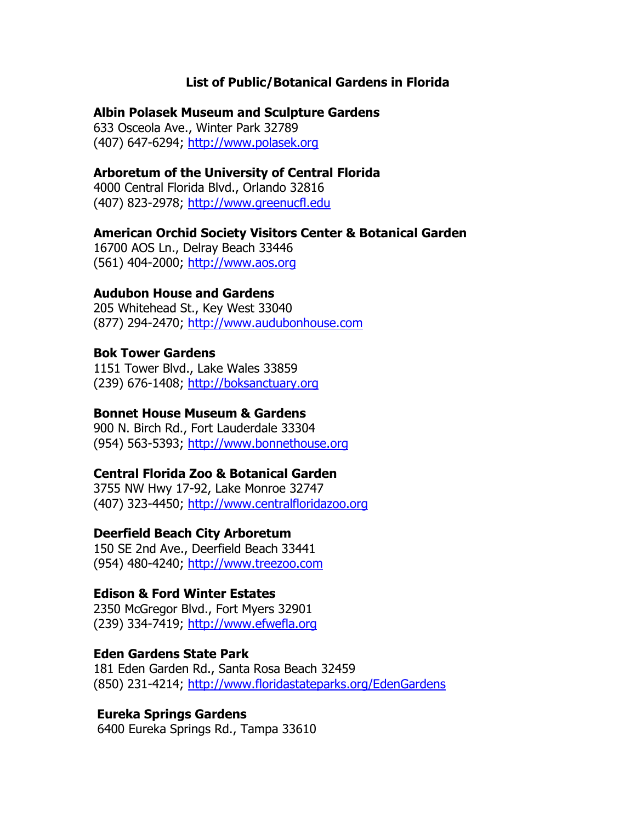## **List of Public/Botanical Gardens in Florida**

#### **Albin Polasek Museum and Sculpture Gardens**

633 Osceola Ave., Winter Park 32789 (407) 647-6294; [http://www.polasek.org](http://www.polasek.org/)

# **Arboretum of the University of Central Florida**

4000 Central Florida Blvd., Orlando 32816 (407) 823-2978; [http://www.greenucfl.edu](http://www.greenucfl.edu/)

#### **American Orchid Society Visitors Center & Botanical Garden**

16700 AOS Ln., Delray Beach 33446 (561) 404-2000; [http://www.aos.org](http://www.aos.org/)

# **Audubon House and Gardens**

205 Whitehead St., Key West 33040 (877) 294-2470; [http://www.audubonhouse.com](http://www.audubonhouse.com/)

## **Bok Tower Gardens**

1151 Tower Blvd., Lake Wales 33859 (239) 676-1408; [http://boksanctuary.org](http://boksanctuary.org/)

## **Bonnet House Museum & Gardens**

900 N. Birch Rd., Fort Lauderdale 33304 (954) 563-5393; [http://www.bonnethouse.org](http://www.bonnethouse.org/)

#### **Central Florida Zoo & Botanical Garden**

3755 NW Hwy 17-92, Lake Monroe 32747 (407) 323-4450; [http://www.centralfloridazoo.org](http://www.centralfloridazoo.org/)

#### **Deerfield Beach City Arboretum**

150 SE 2nd Ave., Deerfield Beach 33441 (954) 480-4240; [http://www.treezoo.com](http://www.treezoo.com/)

## **Edison & Ford Winter Estates**

2350 McGregor Blvd., Fort Myers 32901 (239) 334-7419; [http://www.efwefla.org](http://www.efwefla.org/)

#### **[Eden Gardens](http://www.funandsun.com/parks/EdenGardens/edengardens.html) State Park**

181 Eden Garden Rd., Santa Rosa Beach 32459 (850) 231-4214; <http://www.floridastateparks.org/EdenGardens>

## **[Eureka Springs Gardens](http://www.hillsboroughcounty.org/parks/parkservices/regionalsites.cfm?facilitydetailid=359&selparks=-1&selcategory=-1&zipcode=&First=26&Last=30)**

6400 Eureka Springs Rd., Tampa 33610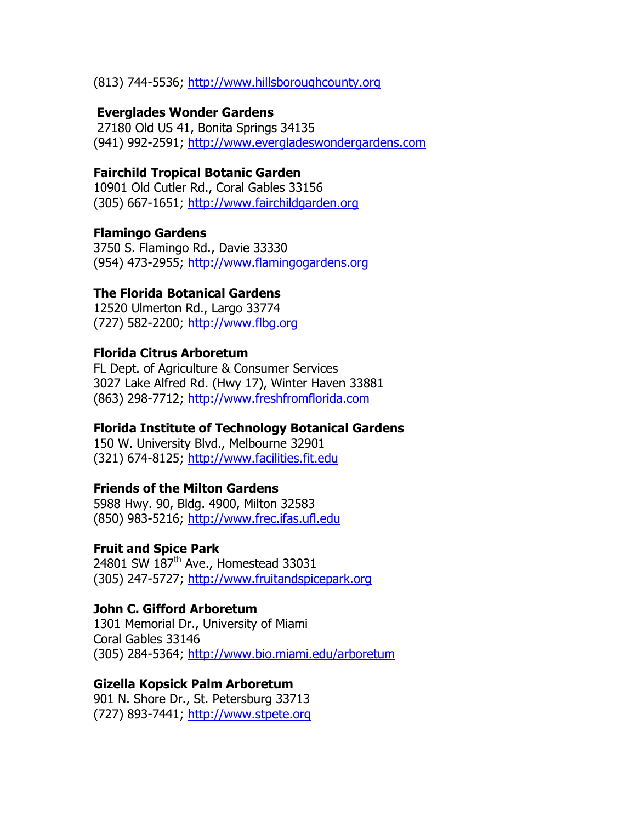(813) 744-5536; [http://www.hillsboroughcounty.org](http://www.hillsboroughcounty.org/)

## **[Everglades Wonder Gardens](http://www.sanybel.com/everglades_wonder_gardens.htm)**

27180 Old US 41, Bonita Springs 34135 (941) 992-2591; [http://www.evergladeswondergardens.com](http://www.evergladeswondergardens.com/)

## **Fairchild Tropical Botanic Garden**

10901 Old Cutler Rd., Coral Gables 33156 (305) 667-1651; [http://www.fairchildgarden.org](http://www.fairchildgarden.org/)

# **Flamingo Gardens**

3750 S. Flamingo Rd., Davie 33330 (954) 473-2955; [http://www.flamingogardens.org](http://www.flamingogardens.org/)

# **The Florida Botanical Gardens**

12520 Ulmerton Rd., Largo 33774 (727) 582-2200; [http://www.flbg.org](http://www.flbg.org/)

# **Florida Citrus Arboretum**

FL Dept. of Agriculture & Consumer Services 3027 Lake Alfred Rd. (Hwy 17), Winter Haven 33881 (863) 298-7712; [http://www.freshfromflorida.com](http://www.freshfromflorida.com/)

# **Florida Institute of Technology Botanical Gardens**

150 W. University Blvd., Melbourne 32901 (321) 674-8125; [http://www.facilities.fit.edu](http://www.facilities.fit.edu/)

# **Friends of the Milton Gardens**

5988 Hwy. 90, Bldg. 4900, Milton 32583 (850) 983-5216; [http://www.frec.ifas.ufl.edu](http://www.frec.ifas.ufl.edu/)

## **Fruit and Spice Park**

24801 SW 187<sup>th</sup> Ave., Homestead 33031 (305) 247-5727; [http://www.fruitandspicepark.org](http://www.fruitandspicepark.org/)

# **John C. Gifford Arboretum**

1301 Memorial Dr., University of Miami Coral Gables 33146 (305) 284-5364; <http://www.bio.miami.edu/arboretum>

# **Gizella Kopsick Palm Arboretum**

901 N. Shore Dr., St. Petersburg 33713 (727) 893-7441; [http://www.stpete.org](http://www.stpete.org/)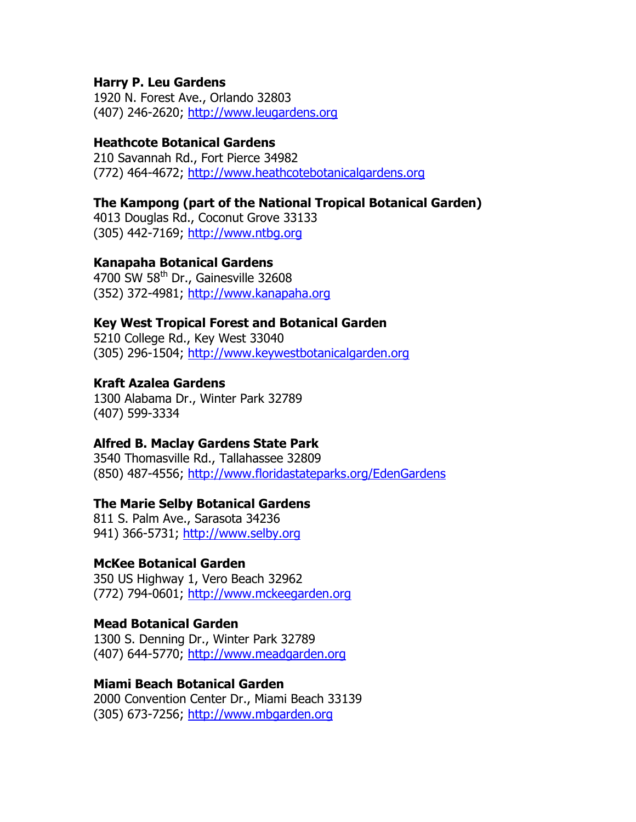## **Harry P. Leu Gardens**

1920 N. Forest Ave., Orlando 32803 (407) 246-2620; [http://www.leugardens.org](http://www.leugardens.org/)

# **Heathcote Botanical Gardens**

210 Savannah Rd., Fort Pierce 34982 (772) 464-4672; [http://www.heathcotebotanicalgardens.org](http://www.heathcotebotanicalgardens.org/)

# **The Kampong (part of the National Tropical Botanical Garden)**

4013 Douglas Rd., Coconut Grove 33133 (305) 442-7169; [http://www.ntbg.org](http://www.ntbg.org/)

# **Kanapaha Botanical Gardens**

4700 SW  $58<sup>th</sup>$  Dr., Gainesville 32608 (352) 372-4981; [http://www.kanapaha.org](http://www.kanapaha.org/)

# **Key West Tropical Forest and Botanical Garden**

5210 College Rd., Key West 33040 (305) 296-1504; [http://www.keywestbotanicalgarden.org](http://www.keywestbotanicalgarden.org/)

# **Kraft Azalea Gardens**

1300 Alabama Dr., Winter Park 32789 (407) 599-3334

# **Alfred B. Maclay Gardens State Park**

3540 Thomasville Rd., Tallahassee 32809 (850) 487-4556;<http://www.floridastateparks.org/EdenGardens>

## **The Marie Selby Botanical Gardens**

811 S. Palm Ave., Sarasota 34236 941) 366-5731; [http://www.selby.org](http://www.selby.org/)

# **McKee Botanical Garden**

350 US Highway 1, Vero Beach 32962 (772) 794-0601; [http://www.mckeegarden.org](http://www.mckeegarden.org/)

## **Mead Botanical Garden**

1300 S. Denning Dr., Winter Park 32789 (407) 644-5770; [http://www.meadgarden.org](http://www.meadgarden.org/)

## **Miami Beach Botanical Garden**

2000 Convention Center Dr., Miami Beach 33139 (305) 673-7256; [http://www.mbgarden.org](http://www.mbgarden.org/)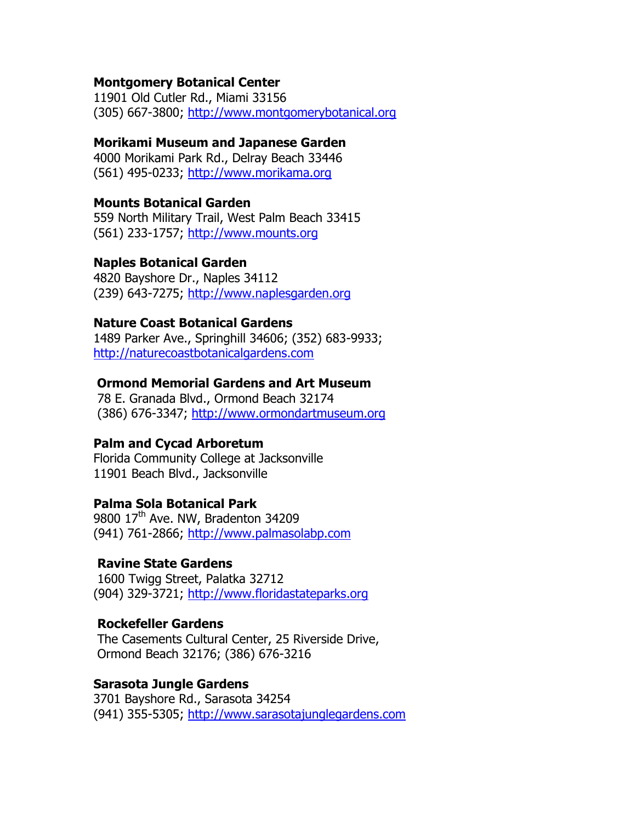## **Montgomery Botanical Center**

11901 Old Cutler Rd., Miami 33156 (305) 667-3800; [http://www.montgomerybotanical.org](http://www.montgomerybotanical.org/)

### **Morikami Museum and Japanese Garden**

4000 Morikami Park Rd., Delray Beach 33446 (561) 495-0233; [http://www.morikama.org](http://www.morikama.org/)

### **Mounts Botanical Garden**

559 North Military Trail, West Palm Beach 33415 (561) 233-1757; [http://www.mounts.org](http://www.mounts.org/)

### **Naples Botanical Garden**

4820 Bayshore Dr., Naples 34112 (239) 643-7275; [http://www.naplesgarden.org](http://www.naplesgarden.org/)

#### **Nature Coast Botanical Gardens**

1489 Parker Ave., Springhill 34606; (352) 683-9933; [http://naturecoastbotanicalgardens.com](http://naturecoastbotanicalgardens.com/)

# **[Ormond Memorial Gardens and Art Museum](http://www.ormondartmuseum.org/)**

78 E. Granada Blvd., Ormond Beach 32174 (386) 676-3347; [http://www.ormondartmuseum.org](http://www.ormondartmuseum.org/)

#### **Palm and Cycad Arboretum**

Florida Community College at Jacksonville 11901 Beach Blvd., Jacksonville

# **Palma Sola Botanical Park**

9800 17<sup>th</sup> Ave. NW, Bradenton 34209 (941) 761-2866; [http://www.palmasolabp.com](http://www.palmasolabp.com/)

### **[Ravine State Gardens](http://www.abfla.com/parks/RavineGardens/ravinegardens.html)**

1600 Twigg Street, Palatka 32712 (904) 329-3721; [http://www.floridastateparks.org](http://www.floridastateparks.org/EdenGardens)

## **[Rockefeller Gardens](http://echotourism.com/cultural/casements.htm)**

The Casements Cultural Center, 25 Riverside Drive, Ormond Beach 32176; (386) 676-3216

#### **Sarasota Jungle Gardens**

3701 Bayshore Rd., Sarasota 34254 (941) 355-5305; [http://www.sarasotajunglegardens.com](http://www.sarasotajunglegardens.com/)